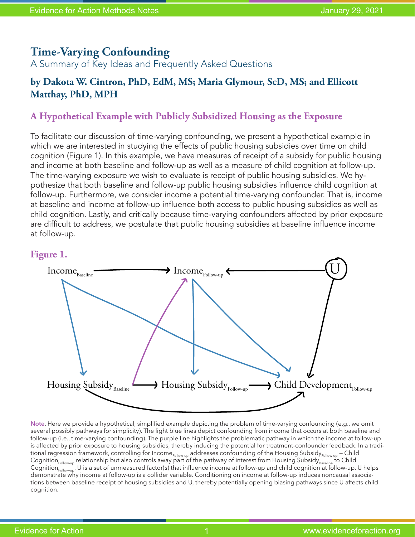# **Time-Varying Confounding**

A Summary of Key Ideas and Frequently Asked Questions

## **by Dakota W. Cintron, PhD, EdM, MS; Maria Glymour, ScD, MS; and Ellicott Matthay, PhD, MPH**

### **A Hypothetical Example with Publicly Subsidized Housing as the Exposure**

To facilitate our discussion of time-varying confounding, we present a hypothetical example in which we are interested in studying the effects of public housing subsidies over time on child cognition (Figure 1). In this example, we have measures of receipt of a subsidy for public housing and income at both baseline and follow-up as well as a measure of child cognition at follow-up. The time-varying exposure we wish to evaluate is receipt of public housing subsidies. We hypothesize that both baseline and follow-up public housing subsidies influence child cognition at follow-up. Furthermore, we consider income a potential time-varying confounder. That is, income at baseline and income at follow-up influence both access to public housing subsidies as well as child cognition. Lastly, and critically because time-varying confounders affected by prior exposure are difficult to address, we postulate that public housing subsidies at baseline influence income at follow-up.

#### **Figure 1.**



**Note**. Here we provide a hypothetical, simplified example depicting the problem of time-varying confounding (e.g., we omit several possibly pathways for simplicity). The light blue lines depict confounding from income that occurs at both baseline and follow-up (i.e., time-varying confounding). The purple line highlights the problematic pathway in which the income at follow-up is affected by prior exposure to housing subsidies, thereby inducing the potential for treatment-confounder feedback. In a traditional regression framework, controlling for Income<sub>Follow-up</sub> addresses confounding of the Housing Subsidy<sub>Follow-up</sub> – Child Cognition<sub>Follow-up</sub> relationship but also controls away part of the pathway of interest from Housing Subsidy $_{\sf Baseline}$  to Child Cognition $_{\sf Follow-up}$ . U is a set of unmeasured factor(s) that influence income at follow-up and child cognition at follow-up. U helps demonstrate why income at follow-up is a collider variable. Conditioning on income at follow-up induces noncausal associations between baseline receipt of housing subsidies and U, thereby potentially opening biasing pathways since U affects child cognition.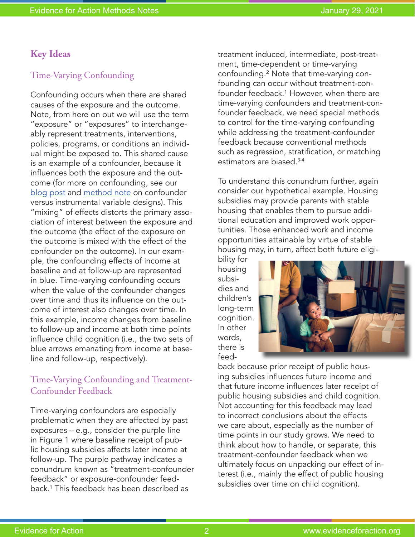### **Key Ideas**

#### Time-Varying Confounding

Confounding occurs when there are shared causes of the exposure and the outcome. Note, from here on out we will use the term "exposure" or "exposures" to interchangeably represent treatments, interventions, policies, programs, or conditions an individual might be exposed to. This shared cause is an example of a confounder, because it influences both the exposure and the outcome (for more on confounding, see our [blog post](https://www.evidenceforaction.org/determining-causal-effects-interventions-alternative-methods-evaluation) and [method note](https://www.evidenceforaction.org/sites/default/files/E4A-Methods-Note-One.pdf) on confounder versus instrumental variable designs). This "mixing" of effects distorts the primary association of interest between the exposure and the outcome (the effect of the exposure on the outcome is mixed with the effect of the confounder on the outcome). In our example, the confounding effects of income at baseline and at follow-up are represented in blue. Time-varying confounding occurs when the value of the confounder changes over time and thus its influence on the outcome of interest also changes over time. In this example, income changes from baseline to follow-up and income at both time points influence child cognition (i.e., the two sets of blue arrows emanating from income at baseline and follow-up, respectively).

### Time-Varying Confounding and Treatment-Confounder Feedback

Time-varying confounders are especially problematic when they are affected by past exposures – e.g., consider the purple line in Figure 1 where baseline receipt of public housing subsidies affects later income at follow-up. The purple pathway indicates a conundrum known as "treatment-confounder feedback" or exposure-confounder feedback.1 This feedback has been described as

treatment induced, intermediate, post-treatment, time-dependent or time-varying confounding.² Note that time-varying confounding can occur without treatment-confounder feedback.<sup>1</sup> However, when there are time-varying confounders and treatment-confounder feedback, we need special methods to control for the time-varying confounding while addressing the treatment-confounder feedback because conventional methods such as regression, stratification, or matching estimators are biased.3-4

To understand this conundrum further, again consider our hypothetical example. Housing subsidies may provide parents with stable housing that enables them to pursue additional education and improved work opportunities. Those enhanced work and income opportunities attainable by virtue of stable housing may, in turn, affect both future eligi-

bility for housing subsidies and children's long-term cognition. In other words, there is feed-



back because prior receipt of public housing subsidies influences future income and that future income influences later receipt of public housing subsidies and child cognition. Not accounting for this feedback may lead to incorrect conclusions about the effects we care about, especially as the number of time points in our study grows. We need to think about how to handle, or separate, this treatment-confounder feedback when we ultimately focus on unpacking our effect of interest (i.e., mainly the effect of public housing subsidies over time on child cognition).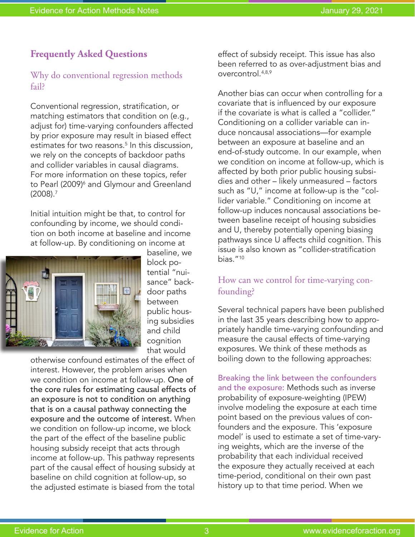## **Frequently Asked Questions**

#### Why do conventional regression methods fail?

Conventional regression, stratification, or matching estimators that condition on (e.g., adjust for) time-varying confounders affected by prior exposure may result in biased effect estimates for two reasons.5 In this discussion, we rely on the concepts of backdoor paths and collider variables in causal diagrams. For more information on these topics, refer to Pearl (2009)<sup>6</sup> and Glymour and Greenland (2008).7

Initial intuition might be that, to control for confounding by income, we should condition on both income at baseline and income at follow-up. By conditioning on income at



baseline, we block potential "nuisance" backdoor paths between public housing subsidies and child cognition that would

otherwise confound estimates of the effect of interest. However, the problem arises when we condition on income at follow-up. One of the core rules for estimating causal effects of an exposure is not to condition on anything that is on a causal pathway connecting the exposure and the outcome of interest. When we condition on follow-up income, we block the part of the effect of the baseline public housing subsidy receipt that acts through income at follow-up. This pathway represents part of the causal effect of housing subsidy at baseline on child cognition at follow-up, so the adjusted estimate is biased from the total

effect of subsidy receipt. This issue has also been referred to as over-adjustment bias and overcontrol.4,8,9

Another bias can occur when controlling for a covariate that is influenced by our exposure if the covariate is what is called a "collider." Conditioning on a collider variable can induce noncausal associations—for example between an exposure at baseline and an end-of-study outcome. In our example, when we condition on income at follow-up, which is affected by both prior public housing subsidies and other – likely unmeasured – factors such as "U," income at follow-up is the "collider variable." Conditioning on income at follow-up induces noncausal associations between baseline receipt of housing subsidies and U, thereby potentially opening biasing pathways since U affects child cognition. This issue is also known as "collider-stratification bias."10

### How can we control for time-varying confounding?

Several technical papers have been published in the last 35 years describing how to appropriately handle time-varying confounding and measure the causal effects of time-varying exposures. We think of these methods as boiling down to the following approaches:

Breaking the link between the confounders and the exposure: Methods such as inverse probability of exposure-weighting (IPEW) involve modeling the exposure at each time point based on the previous values of confounders and the exposure. This 'exposure model' is used to estimate a set of time-varying weights, which are the inverse of the probability that each individual received the exposure they actually received at each time-period, conditional on their own past history up to that time period. When we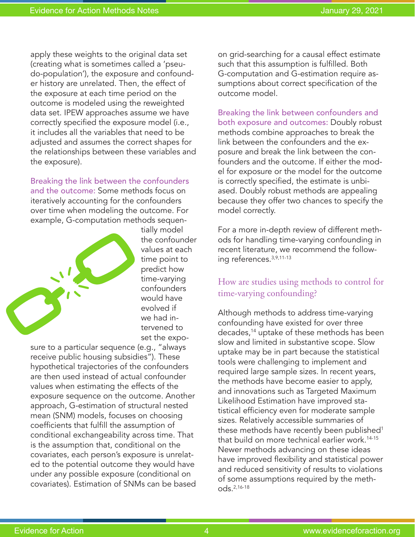apply these weights to the original data set (creating what is sometimes called a 'pseudo-population'), the exposure and confounder history are unrelated. Then, the effect of the exposure at each time period on the outcome is modeled using the reweighted data set. IPEW approaches assume we have correctly specified the exposure model (i.e., it includes all the variables that need to be adjusted and assumes the correct shapes for the relationships between these variables and the exposure).

Breaking the link between the confounders and the outcome: Some methods focus on iteratively accounting for the confounders over time when modeling the outcome. For example, G-computation methods sequen-



tially model the confounder values at each time point to predict how time-varying confounders would have evolved if we had intervened to set the expo-

sure to a particular sequence (e.g., "always receive public housing subsidies"). These hypothetical trajectories of the confounders are then used instead of actual confounder values when estimating the effects of the exposure sequence on the outcome. Another approach, G-estimation of structural nested mean (SNM) models, focuses on choosing coefficients that fulfill the assumption of conditional exchangeability across time. That is the assumption that, conditional on the covariates, each person's exposure is unrelated to the potential outcome they would have under any possible exposure (conditional on covariates). Estimation of SNMs can be based on grid-searching for a causal effect estimate such that this assumption is fulfilled. Both G-computation and G-estimation require assumptions about correct specification of the outcome model.

Breaking the link between confounders and both exposure and outcomes: Doubly robust methods combine approaches to break the link between the confounders and the exposure and break the link between the confounders and the outcome. If either the model for exposure or the model for the outcome is correctly specified, the estimate is unbiased. Doubly robust methods are appealing because they offer two chances to specify the model correctly.

For a more in-depth review of different methods for handling time-varying confounding in recent literature, we recommend the following references.3,9,11-13

### How are studies using methods to control for time-varying confounding?

Although methods to address time-varying confounding have existed for over three decades,14 uptake of these methods has been slow and limited in substantive scope. Slow uptake may be in part because the statistical tools were challenging to implement and required large sample sizes. In recent years, the methods have become easier to apply, and innovations such as Targeted Maximum Likelihood Estimation have improved statistical efficiency even for moderate sample sizes. Relatively accessible summaries of these methods have recently been published<sup>1</sup> that build on more technical earlier work.<sup>14-15</sup> Newer methods advancing on these ideas have improved flexibility and statistical power and reduced sensitivity of results to violations of some assumptions required by the methods.2,16-18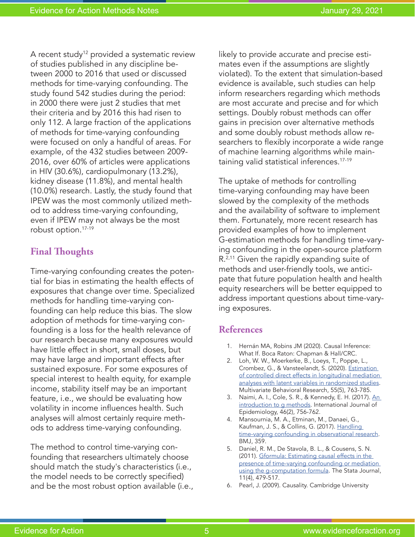A recent study<sup>12</sup> provided a systematic review of studies published in any discipline between 2000 to 2016 that used or discussed methods for time-varying confounding. The study found 542 studies during the period: in 2000 there were just 2 studies that met their criteria and by 2016 this had risen to only 112. A large fraction of the applications of methods for time-varying confounding were focused on only a handful of areas. For example, of the 432 studies between 2009- 2016, over 60% of articles were applications in HIV (30.6%), cardiopulmonary (13.2%), kidney disease (11.8%), and mental health (10.0%) research. Lastly, the study found that IPEW was the most commonly utilized method to address time-varying confounding, even if IPEW may not always be the most robust option.17-19

# **Final Thoughts**

Time-varying confounding creates the potential for bias in estimating the health effects of exposures that change over time. Specialized methods for handling time-varying confounding can help reduce this bias. The slow adoption of methods for time-varying confounding is a loss for the health relevance of our research because many exposures would have little effect in short, small doses, but may have large and important effects after sustained exposure. For some exposures of special interest to health equity, for example income, stability itself may be an important feature, i.e., we should be evaluating how volatility in income influences health. Such analyses will almost certainly require methods to address time-varying confounding.

The method to control time-varying confounding that researchers ultimately choose should match the study's characteristics (i.e., the model needs to be correctly specified) and be the most robust option available (i.e., likely to provide accurate and precise estimates even if the assumptions are slightly violated). To the extent that simulation-based evidence is available, such studies can help inform researchers regarding which methods are most accurate and precise and for which settings. Doubly robust methods can offer gains in precision over alternative methods and some doubly robust methods allow researchers to flexibly incorporate a wide range of machine learning algorithms while maintaining valid statistical inferences.17-19

The uptake of methods for controlling time-varying confounding may have been slowed by the complexity of the methods and the availability of software to implement them. Fortunately, more recent research has provided examples of how to implement G-estimation methods for handling time-varying confounding in the open-source platform R.<sup>2,11</sup> Given the rapidly expanding suite of methods and user-friendly tools, we anticipate that future population health and health equity researchers will be better equipped to address important questions about time-varying exposures.

### **References**

- 1. Hernán MA, Robins JM (2020). Causal Inference: What If. Boca Raton: Chapman & Hall/CRC.
- 2. Loh, W. W., Moerkerke, B., Loeys, T., Poppe, L., Crombez, G., & Vansteelandt, S. (2020). [Estimation](https://www.tandfonline.com/doi/full/10.1080/00273171.2019.1681251)  [of controlled direct effects in longitudinal mediation](https://www.tandfonline.com/doi/full/10.1080/00273171.2019.1681251)  [analyses with latent variables in randomized studies](https://www.tandfonline.com/doi/full/10.1080/00273171.2019.1681251). Multivariate Behavioral Research, 55(5), 763-785.
- 3. Naimi, A. I., Cole, S. R., & Kennedy, E. H. (2017). An [introduction to g methods](https://academic.oup.com/ije/article/46/2/756/2760169). International Journal of Epidemiology, 46(2), 756-762.
- 4. Mansournia, M. A., Etminan, M., Danaei, G., Kaufman, J. S., & Collins, G. (2017). [Handling](https://www.bmj.com/content/359/bmj.j4587)  [time-varying confounding in observational research](https://www.bmj.com/content/359/bmj.j4587). BMJ, 359.
- 5. Daniel, R. M., De Stavola, B. L., & Cousens, S. N. (2011). [Gformula: Estimating causal effects in the](https://journals.sagepub.com/doi/10.1177/1536867X1201100401)  [presence of time-varying confounding or mediation](https://journals.sagepub.com/doi/10.1177/1536867X1201100401)  [using the g-computation formula.](https://journals.sagepub.com/doi/10.1177/1536867X1201100401) The Stata Journal, 11(4), 479-517.
- 6. Pearl, J. (2009). Causality. Cambridge University